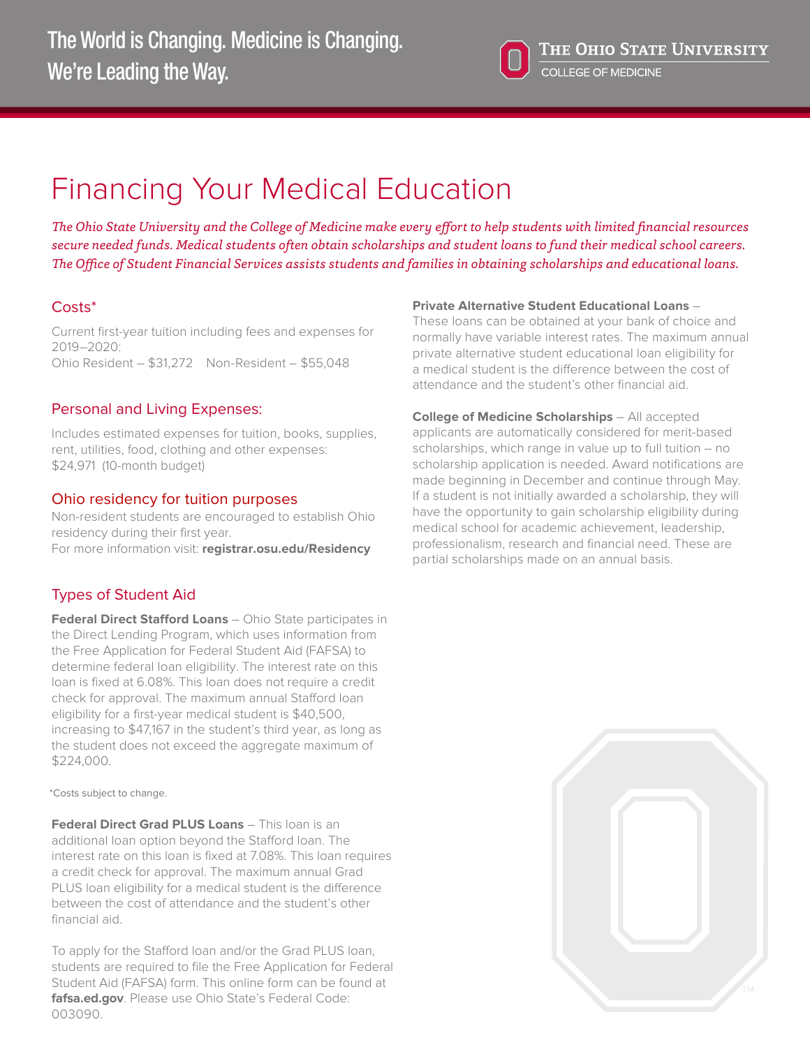

# Financing Your Medical Education

*The Ohio State University and the College of Medicine make every effort to help students with limited financial resources secure needed funds. Medical students often obtain scholarships and student loans to fund their medical school careers. The Office of Student Financial Services assists students and families in obtaining scholarships and educational loans.*

## Costs\*

Current first-year tuition including fees and expenses for 2019–2020: Ohio Resident – \$31,272 Non-Resident – \$55,048

## Personal and Living Expenses:

Includes estimated expenses for tuition, books, supplies, rent, utilities, food, clothing and other expenses: \$24,971 (10-month budget)

## Ohio residency for tuition purposes

Non-resident students are encouraged to establish Ohio residency during their first year. For more information visit: **[registrar.osu.edu/Residency](https://registrar.osu.edu/residency/)**

## Types of Student Aid

**Federal Direct Stafford Loans** – Ohio State participates in the Direct Lending Program, which uses information from the Free Application for Federal Student Aid (FAFSA) to determine federal loan eligibility. The interest rate on this loan is fixed at 6.08%. This loan does not require a credit check for approval. The maximum annual Stafford loan eligibility for a first-year medical student is \$40,500, increasing to \$47,167 in the student's third year, as long as the student does not exceed the aggregate maximum of \$224,000.

\*Costs subject to change.

**Federal Direct Grad PLUS Loans** – This loan is an additional loan option beyond the Stafford loan. The interest rate on this loan is fixed at 7.08%. This loan requires a credit check for approval. The maximum annual Grad PLUS loan eligibility for a medical student is the difference between the cost of attendance and the student's other financial aid.

To apply for the Stafford loan and/or the Grad PLUS loan, students are required to file the Free Application for Federal Student Aid (FAFSA) form. This online form can be found at **<fafsa.ed.gov>**. Please use Ohio State's Federal Code: 003090.

#### **Private Alternative Student Educational Loans** –

These loans can be obtained at your bank of choice and normally have variable interest rates. The maximum annual private alternative student educational loan eligibility for a medical student is the difference between the cost of attendance and the student's other financial aid.

**College of Medicine Scholarships** – All accepted applicants are automatically considered for merit-based scholarships, which range in value up to full tuition – no scholarship application is needed. Award notifications are made beginning in December and continue through May. If a student is not initially awarded a scholarship, they will have the opportunity to gain scholarship eligibility during medical school for academic achievement, leadership, professionalism, research and financial need. These are partial scholarships made on an annual basis.